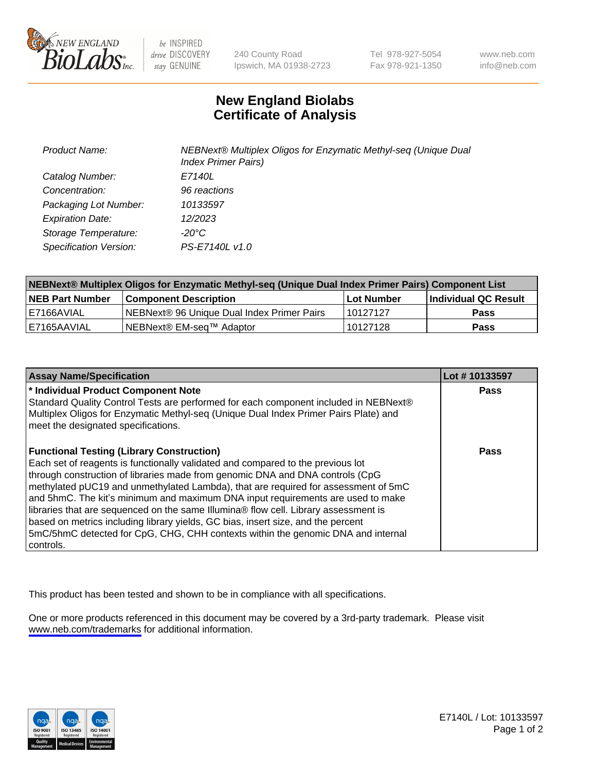

be INSPIRED drive DISCOVERY stay GENUINE

240 County Road Ipswich, MA 01938-2723 Tel 978-927-5054 Fax 978-921-1350

www.neb.com info@neb.com

## **New England Biolabs Certificate of Analysis**

| <b>Product Name:</b>    | NEBNext® Multiplex Oligos for Enzymatic Methyl-seq (Unique Dual<br><b>Index Primer Pairs)</b> |
|-------------------------|-----------------------------------------------------------------------------------------------|
| Catalog Number:         | E7140L                                                                                        |
| Concentration:          | 96 reactions                                                                                  |
| Packaging Lot Number:   | 10133597                                                                                      |
| <b>Expiration Date:</b> | 12/2023                                                                                       |
| Storage Temperature:    | -20°C                                                                                         |
| Specification Version:  | PS-E7140L v1.0                                                                                |

| NEBNext® Multiplex Oligos for Enzymatic Methyl-seq (Unique Dual Index Primer Pairs) Component List |                                                   |              |                      |  |
|----------------------------------------------------------------------------------------------------|---------------------------------------------------|--------------|----------------------|--|
| <b>NEB Part Number</b>                                                                             | <b>Component Description</b>                      | l Lot Number | Individual QC Result |  |
| I E7166AVIAL                                                                                       | <b>NEBNext® 96 Unique Dual Index Primer Pairs</b> | 10127127     | Pass                 |  |
| I E7165AAVIAL                                                                                      | INEBNext® EM-sea™ Adaptor                         | 10127128     | <b>Pass</b>          |  |

| <b>Assay Name/Specification</b>                                                                                                                                                                                                                                                                                                                                                                                                                                                                                                                                                                                                                                             | Lot #10133597 |
|-----------------------------------------------------------------------------------------------------------------------------------------------------------------------------------------------------------------------------------------------------------------------------------------------------------------------------------------------------------------------------------------------------------------------------------------------------------------------------------------------------------------------------------------------------------------------------------------------------------------------------------------------------------------------------|---------------|
| * Individual Product Component Note<br>Standard Quality Control Tests are performed for each component included in NEBNext®<br>Multiplex Oligos for Enzymatic Methyl-seq (Unique Dual Index Primer Pairs Plate) and<br>meet the designated specifications.                                                                                                                                                                                                                                                                                                                                                                                                                  | <b>Pass</b>   |
| <b>Functional Testing (Library Construction)</b><br>Each set of reagents is functionally validated and compared to the previous lot<br>through construction of libraries made from genomic DNA and DNA controls (CpG<br>methylated pUC19 and unmethylated Lambda), that are required for assessment of 5mC<br>and 5hmC. The kit's minimum and maximum DNA input requirements are used to make<br>libraries that are sequenced on the same Illumina® flow cell. Library assessment is<br>based on metrics including library yields, GC bias, insert size, and the percent<br>5mC/5hmC detected for CpG, CHG, CHH contexts within the genomic DNA and internal<br>l controls. | Pass          |

This product has been tested and shown to be in compliance with all specifications.

One or more products referenced in this document may be covered by a 3rd-party trademark. Please visit <www.neb.com/trademarks>for additional information.